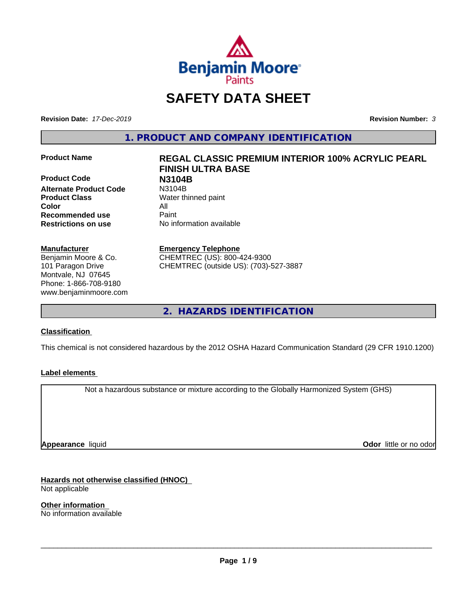

# **SAFETY DATA SHEET**

**Revision Date:** *17-Dec-2019* **Revision Number:** *3*

**1. PRODUCT AND COMPANY IDENTIFICATION**

**Product Code N3104B Alternate Product Code Product Class** Water thinned paint **Color** All **Recommended use** Paint **Restrictions on use** No information available

#### **Manufacturer**

Benjamin Moore & Co. 101 Paragon Drive Montvale, NJ 07645 Phone: 1-866-708-9180 www.benjaminmoore.com

# **Product Name REGAL CLASSIC PREMIUM INTERIOR 100% ACRYLIC PEARL FINISH ULTRA BASE**

**Emergency Telephone**

CHEMTREC (US): 800-424-9300 CHEMTREC (outside US): (703)-527-3887

**2. HAZARDS IDENTIFICATION**

#### **Classification**

This chemical is not considered hazardous by the 2012 OSHA Hazard Communication Standard (29 CFR 1910.1200)

#### **Label elements**

Not a hazardous substance or mixture according to the Globally Harmonized System (GHS)

**Appearance** liquid

**Odor** little or no odor

**Hazards not otherwise classified (HNOC)** Not applicable

**Other information** No information available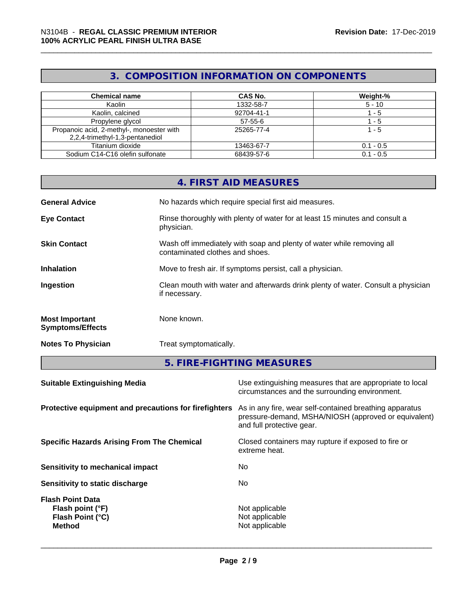## **3. COMPOSITION INFORMATION ON COMPONENTS**

| <b>Chemical name</b>                      | <b>CAS No.</b> | Weight-%    |
|-------------------------------------------|----------------|-------------|
| Kaolin                                    | 1332-58-7      | $5 - 10$    |
| Kaolin, calcined                          | 92704-41-1     | - 5         |
| Propylene glycol                          | $57 - 55 - 6$  | - 5         |
| Propanoic acid, 2-methyl-, monoester with | 25265-77-4     | 1 - 5       |
| 2,2,4-trimethyl-1,3-pentanediol           |                |             |
| Titanium dioxide                          | 13463-67-7     | $0.1 - 0.5$ |
| Sodium C14-C16 olefin sulfonate           | 68439-57-6     | $0.1 - 0.5$ |

|                                                  | <b>4. FIRST AID MEASURES</b>                                                                             |
|--------------------------------------------------|----------------------------------------------------------------------------------------------------------|
| <b>General Advice</b>                            | No hazards which require special first aid measures.                                                     |
| <b>Eye Contact</b>                               | Rinse thoroughly with plenty of water for at least 15 minutes and consult a<br>physician.                |
| <b>Skin Contact</b>                              | Wash off immediately with soap and plenty of water while removing all<br>contaminated clothes and shoes. |
| <b>Inhalation</b>                                | Move to fresh air. If symptoms persist, call a physician.                                                |
| Ingestion                                        | Clean mouth with water and afterwards drink plenty of water. Consult a physician<br>if necessary.        |
| <b>Most Important</b><br><b>Symptoms/Effects</b> | None known.                                                                                              |
| <b>Notes To Physician</b>                        | Treat symptomatically.                                                                                   |

**5. FIRE-FIGHTING MEASURES**

| <b>Suitable Extinguishing Media</b>                                              | Use extinguishing measures that are appropriate to local<br>circumstances and the surrounding environment.                                   |
|----------------------------------------------------------------------------------|----------------------------------------------------------------------------------------------------------------------------------------------|
| Protective equipment and precautions for firefighters                            | As in any fire, wear self-contained breathing apparatus<br>pressure-demand, MSHA/NIOSH (approved or equivalent)<br>and full protective gear. |
| <b>Specific Hazards Arising From The Chemical</b>                                | Closed containers may rupture if exposed to fire or<br>extreme heat.                                                                         |
| Sensitivity to mechanical impact                                                 | No                                                                                                                                           |
| Sensitivity to static discharge                                                  | No.                                                                                                                                          |
| <b>Flash Point Data</b><br>Flash point (°F)<br>Flash Point (°C)<br><b>Method</b> | Not applicable<br>Not applicable<br>Not applicable                                                                                           |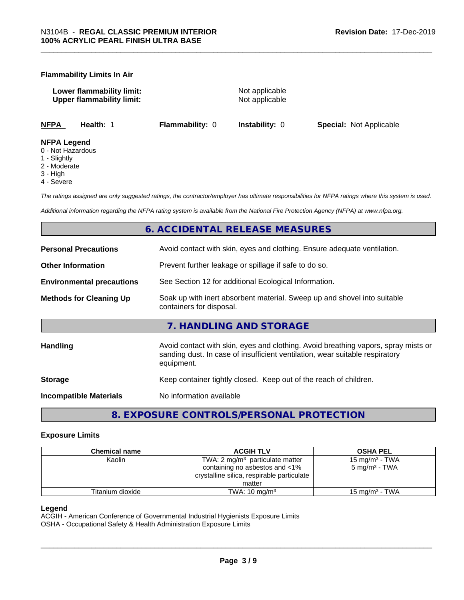#### **Flammability Limits In Air**

**Lower flammability limit:** Not applicable **Upper flammability limit:** Not applicable

**NFPA Health:** 1 **Flammability:** 0 **Instability:** 0 **Special:** Not Applicable

#### **NFPA Legend**

- 0 Not Hazardous
- 1 Slightly
- 2 Moderate
- 3 High
- 4 Severe

*The ratings assigned are only suggested ratings, the contractor/employer has ultimate responsibilities for NFPA ratings where this system is used.*

*Additional information regarding the NFPA rating system is available from the National Fire Protection Agency (NFPA) at www.nfpa.org.*

#### **6. ACCIDENTAL RELEASE MEASURES**

| <b>Personal Precautions</b>      | Avoid contact with skin, eyes and clothing. Ensure adequate ventilation.                                                                                                         |
|----------------------------------|----------------------------------------------------------------------------------------------------------------------------------------------------------------------------------|
| <b>Other Information</b>         | Prevent further leakage or spillage if safe to do so.                                                                                                                            |
| <b>Environmental precautions</b> | See Section 12 for additional Ecological Information.                                                                                                                            |
| <b>Methods for Cleaning Up</b>   | Soak up with inert absorbent material. Sweep up and shovel into suitable<br>containers for disposal.                                                                             |
|                                  | 7. HANDLING AND STORAGE                                                                                                                                                          |
| Handling                         | Avoid contact with skin, eyes and clothing. Avoid breathing vapors, spray mists or<br>sanding dust. In case of insufficient ventilation, wear suitable respiratory<br>equipment. |
| <b>Storage</b>                   | Keep container tightly closed. Keep out of the reach of children.                                                                                                                |
| <b>Incompatible Materials</b>    | No information available                                                                                                                                                         |
|                                  |                                                                                                                                                                                  |

**8. EXPOSURE CONTROLS/PERSONAL PROTECTION**

#### **Exposure Limits**

| <b>Chemical name</b> | <b>ACGIH TLV</b>                           | <b>OSHA PEL</b>            |
|----------------------|--------------------------------------------|----------------------------|
| Kaolin               | TWA: $2 \text{ mg/m}^3$ particulate matter | 15 mg/m <sup>3</sup> - TWA |
|                      | containing no asbestos and <1%             | $5 \text{ mg/m}^3$ - TWA   |
|                      | crystalline silica, respirable particulate |                            |
|                      | matter                                     |                            |
| Titanium dioxide     | TWA: $10 \text{ mg/m}^3$                   | 15 mg/m <sup>3</sup> - TWA |

#### **Legend**

ACGIH - American Conference of Governmental Industrial Hygienists Exposure Limits

OSHA - Occupational Safety & Health Administration Exposure Limits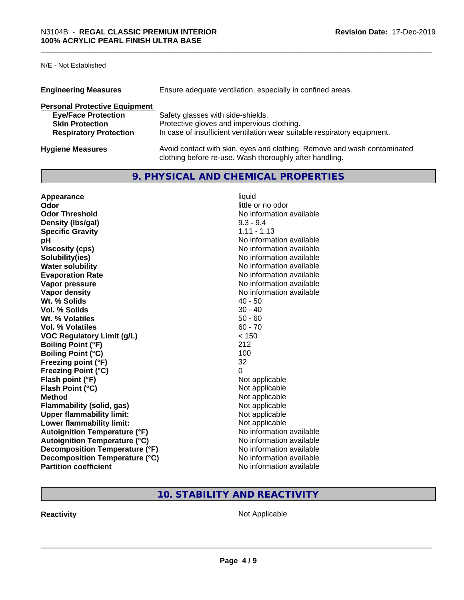N/E - Not Established

| <b>Engineering Measures</b>          | Ensure adequate ventilation, especially in confined areas.                                                                          |
|--------------------------------------|-------------------------------------------------------------------------------------------------------------------------------------|
| <b>Personal Protective Equipment</b> |                                                                                                                                     |
| <b>Eye/Face Protection</b>           | Safety glasses with side-shields.                                                                                                   |
| <b>Skin Protection</b>               | Protective gloves and impervious clothing.                                                                                          |
| <b>Respiratory Protection</b>        | In case of insufficient ventilation wear suitable respiratory equipment.                                                            |
| <b>Hygiene Measures</b>              | Avoid contact with skin, eyes and clothing. Remove and wash contaminated<br>clothing before re-use. Wash thoroughly after handling. |

#### **9. PHYSICAL AND CHEMICAL PROPERTIES**

| Appearance<br>Odor                                             | liquid<br>little or no odor                          |
|----------------------------------------------------------------|------------------------------------------------------|
| <b>Odor Threshold</b>                                          | No information available                             |
| Density (Ibs/gal)                                              | $9.3 - 9.4$<br>$1.11 - 1.13$                         |
| <b>Specific Gravity</b>                                        | No information available                             |
| рH<br><b>Viscosity (cps)</b>                                   | No information available                             |
| Solubility(ies)                                                | No information available                             |
| <b>Water solubility</b>                                        | No information available                             |
| <b>Evaporation Rate</b>                                        | No information available                             |
| Vapor pressure                                                 | No information available                             |
| <b>Vapor density</b>                                           | No information available                             |
| Wt. % Solids                                                   | $40 - 50$                                            |
| Vol. % Solids                                                  | $30 - 40$                                            |
| Wt. % Volatiles                                                | $50 - 60$                                            |
| Vol. % Volatiles                                               | $60 - 70$                                            |
| <b>VOC Regulatory Limit (g/L)</b>                              | < 150                                                |
| <b>Boiling Point (°F)</b>                                      | 212                                                  |
| <b>Boiling Point (°C)</b>                                      | 100                                                  |
| Freezing point (°F)                                            | 32                                                   |
| <b>Freezing Point (°C)</b>                                     | 0                                                    |
| Flash point (°F)                                               | Not applicable                                       |
| Flash Point (°C)                                               | Not applicable                                       |
| <b>Method</b>                                                  | Not applicable                                       |
| <b>Flammability (solid, gas)</b>                               | Not applicable                                       |
| <b>Upper flammability limit:</b>                               | Not applicable                                       |
| Lower flammability limit:                                      | Not applicable                                       |
| <b>Autoignition Temperature (°F)</b>                           | No information available                             |
| <b>Autoignition Temperature (°C)</b>                           | No information available                             |
| Decomposition Temperature (°F)                                 | No information available                             |
| Decomposition Temperature (°C)<br><b>Partition coefficient</b> | No information available<br>No information available |
|                                                                |                                                      |

### **10. STABILITY AND REACTIVITY**

**Reactivity Not Applicable** Not Applicable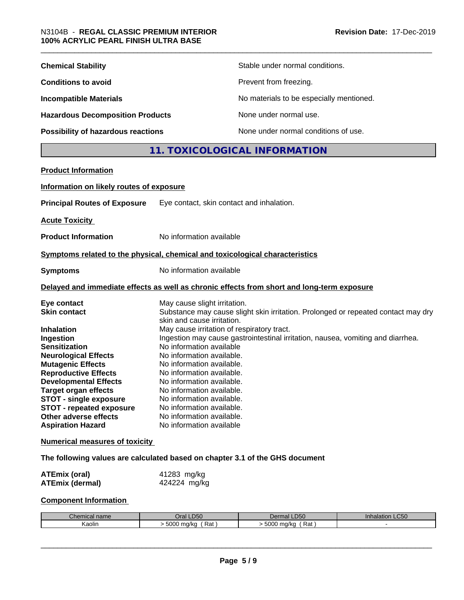| <b>Chemical Stability</b>                                                                                                                                                                                                                                                                                                                                                      |                                                                                                                                                                                                                                                                                                                                                                                                          | Stable under normal conditions.                                                                                                                                      |
|--------------------------------------------------------------------------------------------------------------------------------------------------------------------------------------------------------------------------------------------------------------------------------------------------------------------------------------------------------------------------------|----------------------------------------------------------------------------------------------------------------------------------------------------------------------------------------------------------------------------------------------------------------------------------------------------------------------------------------------------------------------------------------------------------|----------------------------------------------------------------------------------------------------------------------------------------------------------------------|
| <b>Conditions to avoid</b>                                                                                                                                                                                                                                                                                                                                                     | Prevent from freezing.                                                                                                                                                                                                                                                                                                                                                                                   |                                                                                                                                                                      |
| <b>Incompatible Materials</b>                                                                                                                                                                                                                                                                                                                                                  |                                                                                                                                                                                                                                                                                                                                                                                                          | No materials to be especially mentioned.                                                                                                                             |
| <b>Hazardous Decomposition Products</b>                                                                                                                                                                                                                                                                                                                                        |                                                                                                                                                                                                                                                                                                                                                                                                          | None under normal use.                                                                                                                                               |
| <b>Possibility of hazardous reactions</b>                                                                                                                                                                                                                                                                                                                                      |                                                                                                                                                                                                                                                                                                                                                                                                          | None under normal conditions of use.                                                                                                                                 |
|                                                                                                                                                                                                                                                                                                                                                                                |                                                                                                                                                                                                                                                                                                                                                                                                          | 11. TOXICOLOGICAL INFORMATION                                                                                                                                        |
| <b>Product Information</b>                                                                                                                                                                                                                                                                                                                                                     |                                                                                                                                                                                                                                                                                                                                                                                                          |                                                                                                                                                                      |
|                                                                                                                                                                                                                                                                                                                                                                                |                                                                                                                                                                                                                                                                                                                                                                                                          |                                                                                                                                                                      |
| Information on likely routes of exposure                                                                                                                                                                                                                                                                                                                                       |                                                                                                                                                                                                                                                                                                                                                                                                          |                                                                                                                                                                      |
| <b>Principal Routes of Exposure</b>                                                                                                                                                                                                                                                                                                                                            | Eye contact, skin contact and inhalation.                                                                                                                                                                                                                                                                                                                                                                |                                                                                                                                                                      |
| <b>Acute Toxicity</b>                                                                                                                                                                                                                                                                                                                                                          |                                                                                                                                                                                                                                                                                                                                                                                                          |                                                                                                                                                                      |
| <b>Product Information</b>                                                                                                                                                                                                                                                                                                                                                     | No information available                                                                                                                                                                                                                                                                                                                                                                                 |                                                                                                                                                                      |
| Symptoms related to the physical, chemical and toxicological characteristics                                                                                                                                                                                                                                                                                                   |                                                                                                                                                                                                                                                                                                                                                                                                          |                                                                                                                                                                      |
| <b>Symptoms</b>                                                                                                                                                                                                                                                                                                                                                                | No information available                                                                                                                                                                                                                                                                                                                                                                                 |                                                                                                                                                                      |
|                                                                                                                                                                                                                                                                                                                                                                                |                                                                                                                                                                                                                                                                                                                                                                                                          | Delayed and immediate effects as well as chronic effects from short and long-term exposure                                                                           |
| Eye contact<br><b>Skin contact</b><br><b>Inhalation</b><br>Ingestion<br><b>Sensitization</b><br><b>Neurological Effects</b><br><b>Mutagenic Effects</b><br><b>Reproductive Effects</b><br><b>Developmental Effects</b><br><b>Target organ effects</b><br>STOT - single exposure<br><b>STOT - repeated exposure</b><br><b>Other adverse effects</b><br><b>Aspiration Hazard</b> | May cause slight irritation.<br>skin and cause irritation.<br>May cause irritation of respiratory tract.<br>No information available<br>No information available.<br>No information available.<br>No information available.<br>No information available.<br>No information available.<br>No information available.<br>No information available.<br>No information available.<br>No information available | Substance may cause slight skin irritation. Prolonged or repeated contact may dry<br>Ingestion may cause gastrointestinal irritation, nausea, vomiting and diarrhea. |
| <b>Numerical measures of toxicity</b>                                                                                                                                                                                                                                                                                                                                          |                                                                                                                                                                                                                                                                                                                                                                                                          |                                                                                                                                                                      |
| The following values are calculated based on chapter 3.1 of the GHS document                                                                                                                                                                                                                                                                                                   |                                                                                                                                                                                                                                                                                                                                                                                                          |                                                                                                                                                                      |
| <b>ATEmix (oral)</b><br><b>ATEmix (dermal)</b>                                                                                                                                                                                                                                                                                                                                 | 41283 mg/kg<br>424224 mg/kg                                                                                                                                                                                                                                                                                                                                                                              |                                                                                                                                                                      |
|                                                                                                                                                                                                                                                                                                                                                                                |                                                                                                                                                                                                                                                                                                                                                                                                          |                                                                                                                                                                      |

### **Component Information**

| $R$ hominal $\sim$<br>Chemical name | Oral LD50                      | LD50<br>Dermal       | <b>Inhalation LC50</b> |
|-------------------------------------|--------------------------------|----------------------|------------------------|
| Kaolin                              | $\sim$<br>Rat<br>ma/ka<br>buud | 5000<br>ma/kc<br>Rat |                        |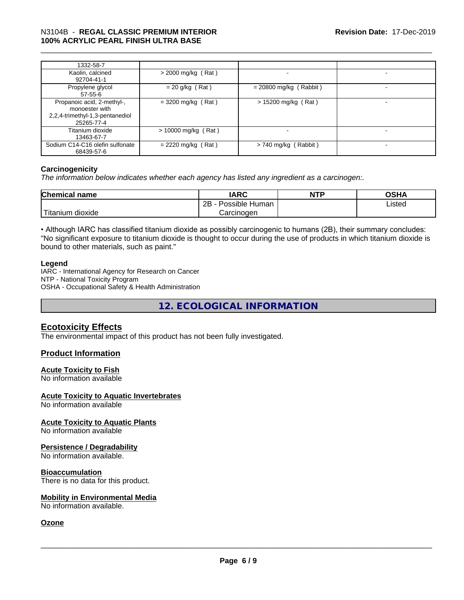# \_\_\_\_\_\_\_\_\_\_\_\_\_\_\_\_\_\_\_\_\_\_\_\_\_\_\_\_\_\_\_\_\_\_\_\_\_\_\_\_\_\_\_\_\_\_\_\_\_\_\_\_\_\_\_\_\_\_\_\_\_\_\_\_\_\_\_\_\_\_\_\_\_\_\_\_\_\_\_\_\_\_\_\_\_\_\_\_\_\_\_\_\_ N3104B - **REGAL CLASSIC PREMIUM INTERIOR 100% ACRYLIC PEARL FINISH ULTRA BASE**

| 1332-58-7                                                                                     |                       |                          |   |
|-----------------------------------------------------------------------------------------------|-----------------------|--------------------------|---|
| Kaolin, calcined<br>92704-41-1                                                                | $>$ 2000 mg/kg (Rat)  |                          | - |
| Propylene glycol<br>$57 - 55 - 6$                                                             | $= 20$ g/kg (Rat)     | $= 20800$ mg/kg (Rabbit) |   |
| Propanoic acid, 2-methyl-,<br>monoester with<br>2,2,4-trimethyl-1,3-pentanediol<br>25265-77-4 | $=$ 3200 mg/kg (Rat)  | $> 15200$ mg/kg (Rat)    |   |
| Titanium dioxide<br>13463-67-7                                                                | $> 10000$ mg/kg (Rat) |                          |   |
| Sodium C14-C16 olefin sulfonate<br>68439-57-6                                                 | $= 2220$ mg/kg (Rat)  | $> 740$ mg/kg (Rabbit)   | - |

#### **Carcinogenicity**

*The information below indicateswhether each agency has listed any ingredient as a carcinogen:.*

| <b>Chem</b><br>nical name                                                                                                                           | <b>IARC</b>                       | <b>NTP</b> | $\sim$ CUA<br>יוחט |
|-----------------------------------------------------------------------------------------------------------------------------------------------------|-----------------------------------|------------|--------------------|
|                                                                                                                                                     | <br>2R<br>Possible<br>Human<br>∠∟ |            | Listed             |
| <b>The Contract of the Contract of the Contract of the Contract of the Contract of the Contract of the Contract o</b><br><br>dioxide ו<br>ı ıtanıum | Carcinogen                        |            |                    |

• Although IARC has classified titanium dioxide as possibly carcinogenic to humans (2B), their summary concludes: "No significant exposure to titanium dioxide is thought to occur during the use of products in which titanium dioxide is bound to other materials, such as paint."

#### **Legend**

IARC - International Agency for Research on Cancer NTP - National Toxicity Program OSHA - Occupational Safety & Health Administration

**12. ECOLOGICAL INFORMATION**

#### **Ecotoxicity Effects**

The environmental impact of this product has not been fully investigated.

#### **Product Information**

#### **Acute Toxicity to Fish**

No information available

#### **Acute Toxicity to Aquatic Invertebrates**

No information available

#### **Acute Toxicity to Aquatic Plants**

No information available

#### **Persistence / Degradability**

No information available.

#### **Bioaccumulation**

There is no data for this product.

#### **Mobility in Environmental Media**

No information available.

#### **Ozone**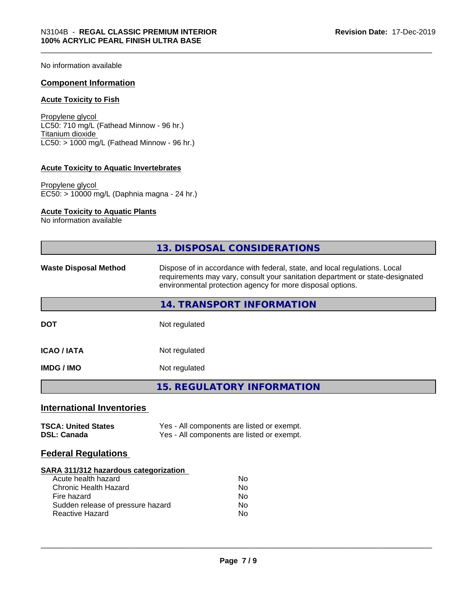No information available

#### **Component Information**

#### **Acute Toxicity to Fish**

Propylene glycol LC50: 710 mg/L (Fathead Minnow - 96 hr.) Titanium dioxide  $LC50:$  > 1000 mg/L (Fathead Minnow - 96 hr.)

#### **Acute Toxicity to Aquatic Invertebrates**

Propylene glycol EC50: > 10000 mg/L (Daphnia magna - 24 hr.)

#### **Acute Toxicity to Aquatic Plants**

No information available

|                                                                                                                                                                            | 13. DISPOSAL CONSIDERATIONS                                                                                                                                                                                               |
|----------------------------------------------------------------------------------------------------------------------------------------------------------------------------|---------------------------------------------------------------------------------------------------------------------------------------------------------------------------------------------------------------------------|
| <b>Waste Disposal Method</b>                                                                                                                                               | Dispose of in accordance with federal, state, and local regulations. Local<br>requirements may vary, consult your sanitation department or state-designated<br>environmental protection agency for more disposal options. |
|                                                                                                                                                                            | 14. TRANSPORT INFORMATION                                                                                                                                                                                                 |
| <b>DOT</b>                                                                                                                                                                 | Not regulated                                                                                                                                                                                                             |
| <b>ICAO / IATA</b>                                                                                                                                                         | Not regulated                                                                                                                                                                                                             |
| <b>IMDG / IMO</b>                                                                                                                                                          | Not regulated                                                                                                                                                                                                             |
|                                                                                                                                                                            | <b>15. REGULATORY INFORMATION</b>                                                                                                                                                                                         |
| <b>International Inventories</b>                                                                                                                                           |                                                                                                                                                                                                                           |
| <b>TSCA: United States</b><br><b>DSL: Canada</b>                                                                                                                           | Yes - All components are listed or exempt.<br>Yes - All components are listed or exempt.                                                                                                                                  |
| <b>Federal Regulations</b>                                                                                                                                                 |                                                                                                                                                                                                                           |
| SARA 311/312 hazardous categorization<br>Acute health hazard<br><b>Chronic Health Hazard</b><br>Fire hazard<br>Sudden release of pressure hazard<br><b>Reactive Hazard</b> | <b>No</b><br>No<br><b>No</b><br>No.<br>No                                                                                                                                                                                 |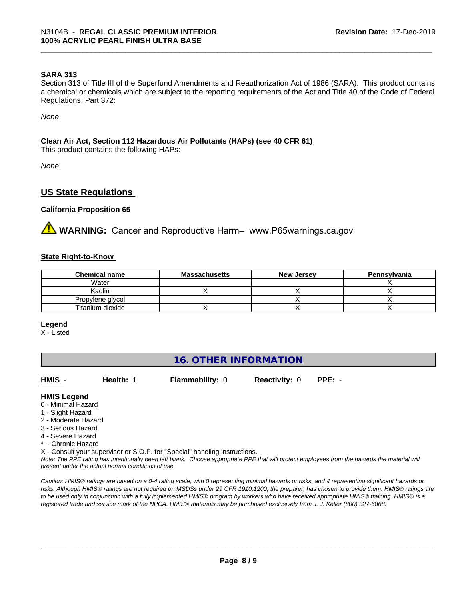#### **SARA 313**

Section 313 of Title III of the Superfund Amendments and Reauthorization Act of 1986 (SARA). This product contains a chemical or chemicals which are subject to the reporting requirements of the Act and Title 40 of the Code of Federal Regulations, Part 372:

*None*

#### **Clean Air Act,Section 112 Hazardous Air Pollutants (HAPs) (see 40 CFR 61)**

This product contains the following HAPs:

*None*

#### **US State Regulations**

#### **California Proposition 65**

**A WARNING:** Cancer and Reproductive Harm– www.P65warnings.ca.gov

#### **State Right-to-Know**

| <b>Chemical name</b> | <b>Massachusetts</b> | <b>New Jersey</b> | Pennsylvania |
|----------------------|----------------------|-------------------|--------------|
| Water                |                      |                   |              |
| Kaolin               |                      |                   |              |
| Propylene glycol     |                      |                   |              |
| Titanium dioxide     |                      |                   |              |

#### **Legend**

X - Listed

| <b>16. OTHER INFORMATION</b> |
|------------------------------|
|------------------------------|

| HMIS                                      | Health: | <b>Flammability: 0</b> | <b>Reactivity: 0</b> | $PPE: -$ |
|-------------------------------------------|---------|------------------------|----------------------|----------|
| <b>HMIS Legend</b><br>0 - Minimal Hazard. |         |                        |                      |          |

- 0 Minimal Ha
- 1 Slight Hazard
- 2 Moderate Hazard
- 3 Serious Hazard
- 4 Severe Hazard
- \* Chronic Hazard
- X Consult your supervisor or S.O.P. for "Special" handling instructions.

*Note: The PPE rating has intentionally been left blank. Choose appropriate PPE that will protect employees from the hazards the material will present under the actual normal conditions of use.*

*Caution: HMISÒ ratings are based on a 0-4 rating scale, with 0 representing minimal hazards or risks, and 4 representing significant hazards or risks. Although HMISÒ ratings are not required on MSDSs under 29 CFR 1910.1200, the preparer, has chosen to provide them. HMISÒ ratings are to be used only in conjunction with a fully implemented HMISÒ program by workers who have received appropriate HMISÒ training. HMISÒ is a registered trade and service mark of the NPCA. HMISÒ materials may be purchased exclusively from J. J. Keller (800) 327-6868.*